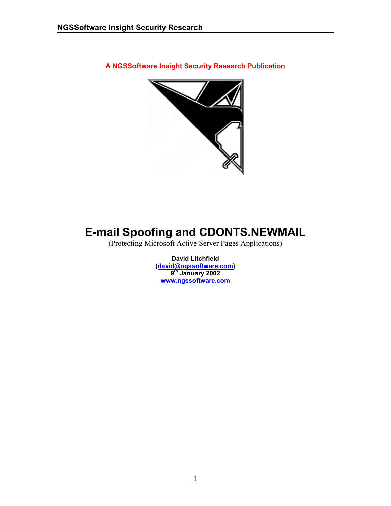**A NGSSoftware Insight Security Research Publication** 



# **E-mail Spoofing and CDONTS.NEWMAIL**

(Protecting Microsoft Active Server Pages Applications)

**David Litchfield ([david@ngssoftware.com](mailto:david@ngssoftware.com)) 9th January 2002 [www.ngssoftware.com](http://www.ngssoftware.com/)**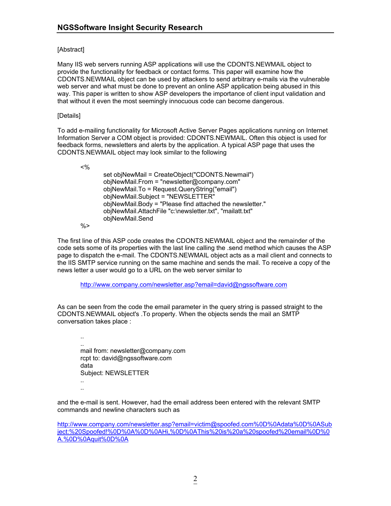## [Abstract]

Many IIS web servers running ASP applications will use the CDONTS.NEWMAIL object to provide the functionality for feedback or contact forms. This paper will examine how the CDONTS.NEWMAIL object can be used by attackers to send arbitrary e-mails via the vulnerable web server and what must be done to prevent an online ASP application being abused in this way. This paper is written to show ASP developers the importance of client input validation and that without it even the most seemingly innocuous code can become dangerous.

## [Details]

To add e-mailing functionality for Microsoft Active Server Pages applications running on Internet Information Server a COM object is provided: CDONTS.NEWMAIL. Often this object is used for feedback forms, newsletters and alerts by the application. A typical ASP page that uses the CDONTS.NEWMAIL object may look similar to the following

 <% set objNewMail = CreateObject("CDONTS.Newmail") objNewMail.From = "newsletter@company.com" objNewMail.To = Request.QueryString("email") objNewMail.Subject = "NEWSLETTER" objNewMail.Body = "Please find attached the newsletter." objNewMail.AttachFile "c:\newsletter.txt", "mailatt.txt" objNewMail.Send

 $% >$ 

The first line of this ASP code creates the CDONTS.NEWMAIL object and the remainder of the code sets some of its properties with the last line calling the .send method which causes the ASP page to dispatch the e-mail. The CDONTS.NEWMAIL object acts as a mail client and connects to the IIS SMTP service running on the same machine and sends the mail. To receive a copy of the news letter a user would go to a URL on the web server similar to

<http://www.company.com/newsletter.asp?email=david@ngssoftware.com>

As can be seen from the code the email parameter in the query string is passed straight to the CDONTS.NEWMAIL object's .To property. When the objects sends the mail an SMTP conversation takes place :

 .. .. mail from: newsletter@company.com rcpt to: david@ngssoftware.com data Subject: NEWSLETTER .. ..

and the e-mail is sent. However, had the email address been entered with the relevant SMTP commands and newline characters such as

[http://www.company.com/newsletter.asp?email=victim@spoofed.com%0D%0Adata%0D%0ASub](http://www.company.com/newsletter.asp?email=victim@spoofed.com%0D%0ASubject:%20Spoofed!%0D%0A%0D%0AHi,%0D%0AThis%20is%20a%20spoofed%20email%0D%0A.%0D%0Aquit%0D%0A) [ject:%20Spoofed!%0D%0A%0D%0AHi,%0D%0AThis%20is%20a%20spoofed%20email%0D%0](http://www.company.com/newsletter.asp?email=victim@spoofed.com%0D%0ASubject:%20Spoofed!%0D%0A%0D%0AHi,%0D%0AThis%20is%20a%20spoofed%20email%0D%0A.%0D%0Aquit%0D%0A) [A.%0D%0Aquit%0D%0A](http://www.company.com/newsletter.asp?email=victim@spoofed.com%0D%0ASubject:%20Spoofed!%0D%0A%0D%0AHi,%0D%0AThis%20is%20a%20spoofed%20email%0D%0A.%0D%0Aquit%0D%0A)